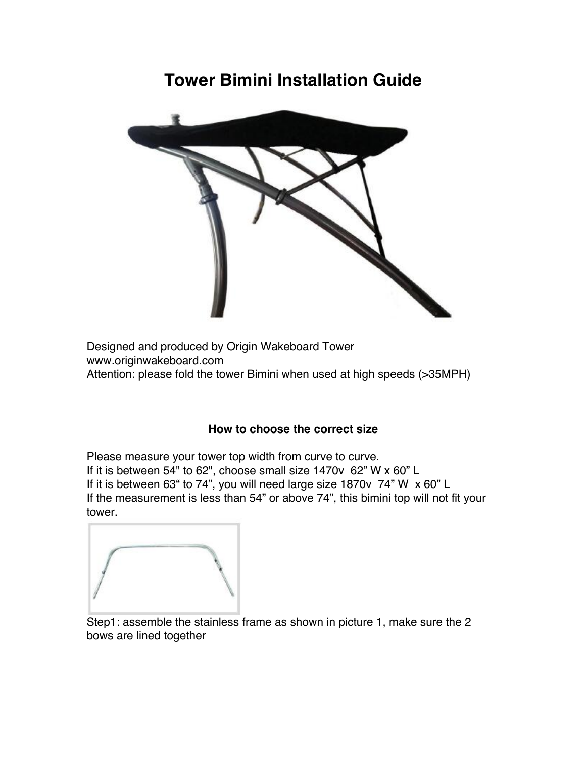## **Tower Bimini Installation Guide**



Designed and produced by Origin Wakeboard Tower www.originwakeboard.com Attention: please fold the tower Bimini when used at high speeds (>35MPH)

## **How to choose the correct size**

Please measure your tower top width from curve to curve. If it is between 54" to 62", choose small size 1470v 62" W x 60" L If it is between 63" to 74", you will need large size 1870v 74" W x 60" L If the measurement is less than 54" or above 74", this bimini top will not fit your tower.

Step1: assemble the stainless frame as shown in picture 1, make sure the 2 bows are lined together